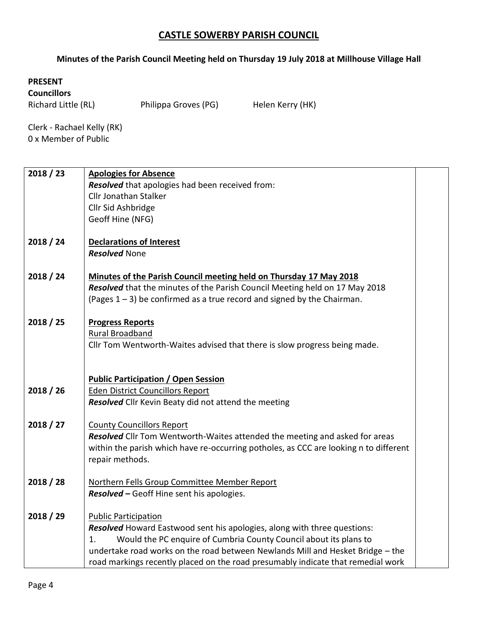## **CASTLE SOWERBY PARISH COUNCIL**

## **Minutes of the Parish Council Meeting held on Thursday 19 July 2018 at Millhouse Village Hall**

## **PRESENT**

**Councillors**

Richard Little (RL) Philippa Groves (PG) Helen Kerry (HK)

Clerk - Rachael Kelly (RK) 0 x Member of Public

| Resolved that apologies had been received from:                                       |  |
|---------------------------------------------------------------------------------------|--|
|                                                                                       |  |
| Cllr Jonathan Stalker                                                                 |  |
| Cllr Sid Ashbridge                                                                    |  |
| Geoff Hine (NFG)                                                                      |  |
|                                                                                       |  |
| 2018 / 24<br><b>Declarations of Interest</b>                                          |  |
| <b>Resolved None</b>                                                                  |  |
|                                                                                       |  |
| 2018 / 24<br>Minutes of the Parish Council meeting held on Thursday 17 May 2018       |  |
| Resolved that the minutes of the Parish Council Meeting held on 17 May 2018           |  |
| (Pages $1 - 3$ ) be confirmed as a true record and signed by the Chairman.            |  |
|                                                                                       |  |
| 2018 / 25<br><b>Progress Reports</b>                                                  |  |
| Rural Broadband                                                                       |  |
| Cllr Tom Wentworth-Waites advised that there is slow progress being made.             |  |
|                                                                                       |  |
|                                                                                       |  |
| <b>Public Participation / Open Session</b>                                            |  |
| 2018 / 26<br><b>Eden District Councillors Report</b>                                  |  |
| Resolved Cllr Kevin Beaty did not attend the meeting                                  |  |
| 2018 / 27<br><b>County Councillors Report</b>                                         |  |
| Resolved Cllr Tom Wentworth-Waites attended the meeting and asked for areas           |  |
| within the parish which have re-occurring potholes, as CCC are looking n to different |  |
| repair methods.                                                                       |  |
|                                                                                       |  |
| 2018 / 28<br>Northern Fells Group Committee Member Report                             |  |
| Resolved - Geoff Hine sent his apologies.                                             |  |
|                                                                                       |  |
| 2018 / 29<br><b>Public Participation</b>                                              |  |
| Resolved Howard Eastwood sent his apologies, along with three questions:              |  |
| Would the PC enquire of Cumbria County Council about its plans to<br>1.               |  |
| undertake road works on the road between Newlands Mill and Hesket Bridge - the        |  |
| road markings recently placed on the road presumably indicate that remedial work      |  |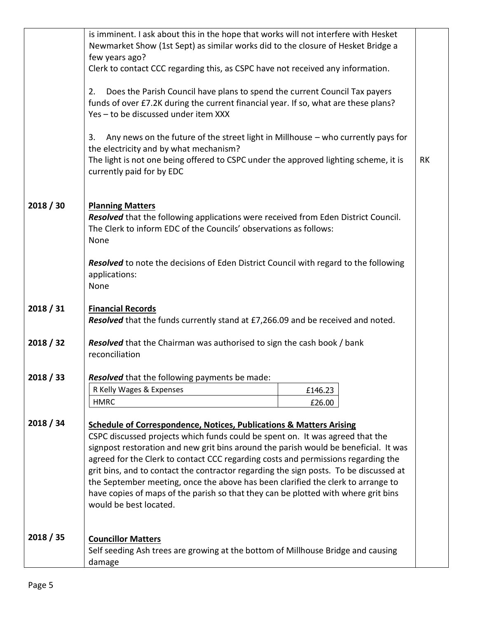|           | is imminent. I ask about this in the hope that works will not interfere with Hesket<br>Newmarket Show (1st Sept) as similar works did to the closure of Hesket Bridge a                                                                                                                                                                                                                                                                                                                                                                                                                                                                   |         |           |  |
|-----------|-------------------------------------------------------------------------------------------------------------------------------------------------------------------------------------------------------------------------------------------------------------------------------------------------------------------------------------------------------------------------------------------------------------------------------------------------------------------------------------------------------------------------------------------------------------------------------------------------------------------------------------------|---------|-----------|--|
|           | few years ago?                                                                                                                                                                                                                                                                                                                                                                                                                                                                                                                                                                                                                            |         |           |  |
|           | Clerk to contact CCC regarding this, as CSPC have not received any information.                                                                                                                                                                                                                                                                                                                                                                                                                                                                                                                                                           |         |           |  |
|           | 2.<br>Does the Parish Council have plans to spend the current Council Tax payers<br>funds of over £7.2K during the current financial year. If so, what are these plans?<br>Yes - to be discussed under item XXX                                                                                                                                                                                                                                                                                                                                                                                                                           |         |           |  |
|           | Any news on the future of the street light in Millhouse $-$ who currently pays for<br>3.<br>the electricity and by what mechanism?                                                                                                                                                                                                                                                                                                                                                                                                                                                                                                        |         |           |  |
|           | The light is not one being offered to CSPC under the approved lighting scheme, it is<br>currently paid for by EDC                                                                                                                                                                                                                                                                                                                                                                                                                                                                                                                         |         | <b>RK</b> |  |
| 2018 / 30 | <b>Planning Matters</b><br>Resolved that the following applications were received from Eden District Council.<br>The Clerk to inform EDC of the Councils' observations as follows:<br>None                                                                                                                                                                                                                                                                                                                                                                                                                                                |         |           |  |
|           | Resolved to note the decisions of Eden District Council with regard to the following<br>applications:<br>None                                                                                                                                                                                                                                                                                                                                                                                                                                                                                                                             |         |           |  |
| 2018 / 31 | <b>Financial Records</b><br>Resolved that the funds currently stand at £7,266.09 and be received and noted.                                                                                                                                                                                                                                                                                                                                                                                                                                                                                                                               |         |           |  |
| 2018 / 32 | <b>Resolved</b> that the Chairman was authorised to sign the cash book / bank<br>reconciliation                                                                                                                                                                                                                                                                                                                                                                                                                                                                                                                                           |         |           |  |
| 2018 / 33 | Resolved that the following payments be made:                                                                                                                                                                                                                                                                                                                                                                                                                                                                                                                                                                                             |         |           |  |
|           | R Kelly Wages & Expenses                                                                                                                                                                                                                                                                                                                                                                                                                                                                                                                                                                                                                  | £146.23 |           |  |
|           | <b>HMRC</b>                                                                                                                                                                                                                                                                                                                                                                                                                                                                                                                                                                                                                               | £26.00  |           |  |
| 2018 / 34 | <b>Schedule of Correspondence, Notices, Publications &amp; Matters Arising</b><br>CSPC discussed projects which funds could be spent on. It was agreed that the<br>signpost restoration and new grit bins around the parish would be beneficial. It was<br>agreed for the Clerk to contact CCC regarding costs and permissions regarding the<br>grit bins, and to contact the contractor regarding the sign posts. To be discussed at<br>the September meeting, once the above has been clarified the clerk to arrange to<br>have copies of maps of the parish so that they can be plotted with where grit bins<br>would be best located. |         |           |  |
|           |                                                                                                                                                                                                                                                                                                                                                                                                                                                                                                                                                                                                                                           |         |           |  |
| 2018 / 35 | <b>Councillor Matters</b><br>Self seeding Ash trees are growing at the bottom of Millhouse Bridge and causing<br>damage                                                                                                                                                                                                                                                                                                                                                                                                                                                                                                                   |         |           |  |